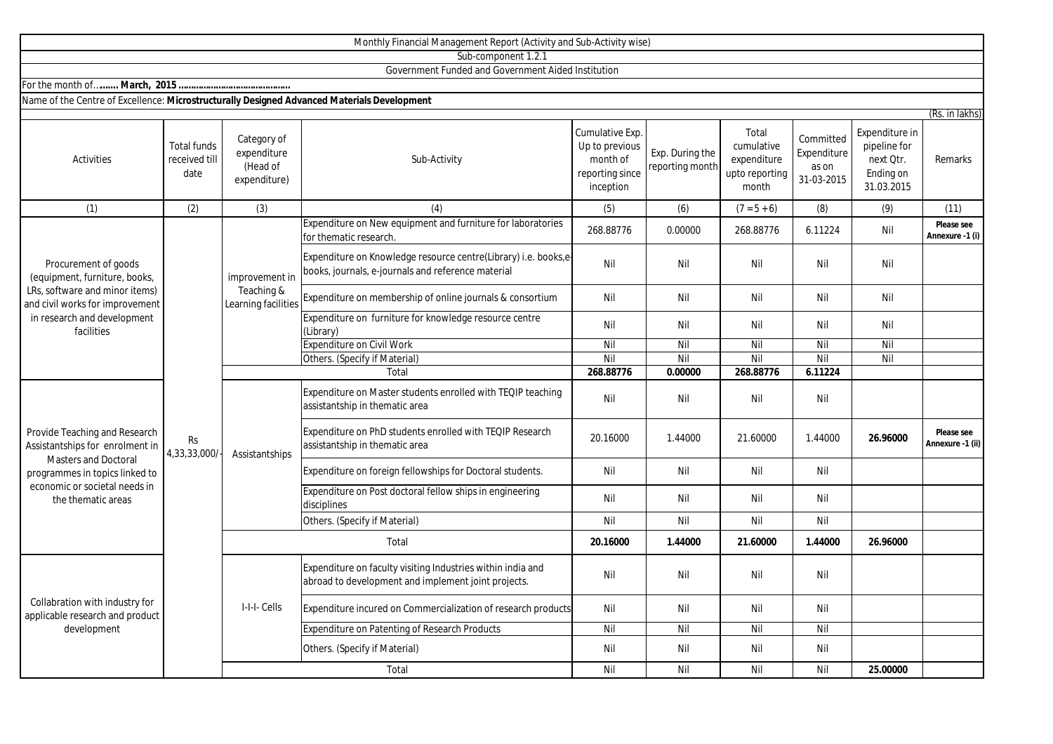|                                                                                                                                                                                          |                                             |                                                     | Monthly Financial Management Report (Activity and Sub-Activity wise)                                                  |                                                            |                                    |                                                      |                                    |                                                      |                                |
|------------------------------------------------------------------------------------------------------------------------------------------------------------------------------------------|---------------------------------------------|-----------------------------------------------------|-----------------------------------------------------------------------------------------------------------------------|------------------------------------------------------------|------------------------------------|------------------------------------------------------|------------------------------------|------------------------------------------------------|--------------------------------|
|                                                                                                                                                                                          |                                             |                                                     | Sub-component 1.2.1                                                                                                   |                                                            |                                    |                                                      |                                    |                                                      |                                |
|                                                                                                                                                                                          |                                             |                                                     | Government Funded and Government Aided Institution                                                                    |                                                            |                                    |                                                      |                                    |                                                      |                                |
|                                                                                                                                                                                          |                                             |                                                     |                                                                                                                       |                                                            |                                    |                                                      |                                    |                                                      |                                |
| Name of the Centre of Excellence: Microstructurally Designed Advanced Materials Development                                                                                              |                                             |                                                     |                                                                                                                       |                                                            |                                    |                                                      |                                    |                                                      |                                |
|                                                                                                                                                                                          |                                             | Category of                                         |                                                                                                                       | Cumulative Exp.                                            |                                    | Total                                                | Committed                          | Expenditure in                                       | (Rs. in lakhs)                 |
| Activities                                                                                                                                                                               | <b>Total funds</b><br>received till<br>date | expenditure<br>(Head of<br>expenditure)             | Sub-Activity                                                                                                          | Up to previous<br>month of<br>reporting since<br>inception | Exp. During the<br>reporting month | cumulative<br>expenditure<br>upto reporting<br>month | Expenditure<br>as on<br>31-03-2015 | pipeline for<br>next Qtr.<br>Ending on<br>31.03.2015 | Remarks                        |
| (1)                                                                                                                                                                                      | (2)                                         | (3)                                                 | (4)                                                                                                                   | (5)                                                        | (6)                                | $(7 = 5 + 6)$                                        | (8)                                | (9)                                                  | (11)                           |
| Procurement of goods<br>(equipment, furniture, books,<br>LRs, software and minor items)<br>and civil works for improvement<br>in research and development<br>facilities                  | <b>Rs</b><br>4,33,33,000/                   | improvement in<br>Teaching &<br>Learning facilities | Expenditure on New equipment and furniture for laboratories<br>for thematic research.                                 | 268.88776                                                  | 0.00000                            | 268.88776                                            | 6.11224                            | Nil                                                  | Please see<br>Annexure -1 (i)  |
|                                                                                                                                                                                          |                                             |                                                     | Expenditure on Knowledge resource centre(Library) i.e. books,e-<br>books, journals, e-journals and reference material | Nil                                                        | Nil                                | Nil                                                  | Nil                                | Nil                                                  |                                |
|                                                                                                                                                                                          |                                             |                                                     | Expenditure on membership of online journals & consortium                                                             | Nil                                                        | Nil                                | Nil                                                  | Nil                                | Nil                                                  |                                |
|                                                                                                                                                                                          |                                             |                                                     | Expenditure on furniture for knowledge resource centre<br>(Library)                                                   | Nil                                                        | Nil                                | Nil                                                  | Nil                                | Nil                                                  |                                |
|                                                                                                                                                                                          |                                             |                                                     | <b>Expenditure on Civil Work</b>                                                                                      | Nil                                                        | Nil                                | Nil                                                  | Nil                                | Nil                                                  |                                |
|                                                                                                                                                                                          |                                             |                                                     | Others. (Specify if Material)                                                                                         | Nil                                                        | Nil                                | Nil                                                  | Nil                                | Nil                                                  |                                |
|                                                                                                                                                                                          |                                             |                                                     | Total                                                                                                                 | 268.88776                                                  | 0.00000                            | 268.88776                                            | 6.11224                            |                                                      |                                |
| Provide Teaching and Research<br>Assistantships for enrolment in<br><b>Masters and Doctoral</b><br>programmes in topics linked to<br>economic or societal needs in<br>the thematic areas |                                             | Assistantships                                      | Expenditure on Master students enrolled with TEQIP teaching<br>assistantship in thematic area                         | Nil                                                        | Nil                                | Nil                                                  | Nil                                |                                                      |                                |
|                                                                                                                                                                                          |                                             |                                                     | Expenditure on PhD students enrolled with TEQIP Research<br>assistantship in thematic area                            | 20.16000                                                   | 1.44000                            | 21.60000                                             | 1.44000                            | 26.96000                                             | Please see<br>Annexure -1 (ii) |
|                                                                                                                                                                                          |                                             |                                                     | Expenditure on foreign fellowships for Doctoral students.                                                             | Nil                                                        | Nil                                | Nil                                                  | Nil                                |                                                      |                                |
|                                                                                                                                                                                          |                                             |                                                     | Expenditure on Post doctoral fellow ships in engineering<br>disciplines                                               | Nil                                                        | Nil                                | Nil                                                  | Nil                                |                                                      |                                |
|                                                                                                                                                                                          |                                             |                                                     | Others. (Specify if Material)                                                                                         | Nil                                                        | Nil                                | Nil                                                  | Nil                                |                                                      |                                |
|                                                                                                                                                                                          |                                             | Total                                               |                                                                                                                       | 20.16000                                                   | 1.44000                            | 21.60000                                             | 1.44000                            | 26.96000                                             |                                |
| Collabration with industry for<br>applicable research and product<br>development                                                                                                         |                                             | I-I-I- Cells                                        | Expenditure on faculty visiting Industries within india and<br>abroad to development and implement joint projects.    | Nil                                                        | Nil                                | Nil                                                  | Nil                                |                                                      |                                |
|                                                                                                                                                                                          |                                             |                                                     | Expenditure incured on Commercialization of research products                                                         | Nil                                                        | Nil                                | Nil                                                  | Nil                                |                                                      |                                |
|                                                                                                                                                                                          |                                             |                                                     | Expenditure on Patenting of Research Products                                                                         | Nil                                                        | Nil                                | Nil                                                  | Nil                                |                                                      |                                |
|                                                                                                                                                                                          |                                             |                                                     | Others. (Specify if Material)                                                                                         | Nil                                                        | Nil                                | Nil                                                  | Nil                                |                                                      |                                |
|                                                                                                                                                                                          |                                             |                                                     | Total                                                                                                                 | Nil                                                        | Nil                                | Nil                                                  | Nil                                | 25.00000                                             |                                |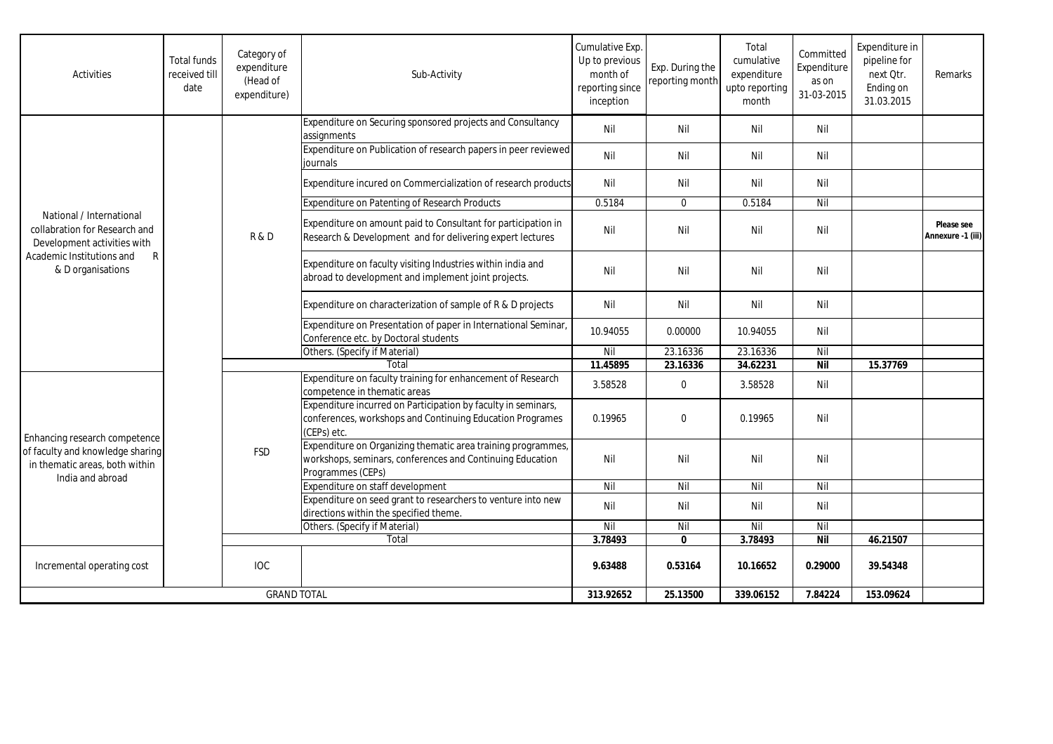| Activities                                                                                                                                                 | <b>Total funds</b><br>received till<br>date | Category of<br>expenditure<br>(Head of<br>expenditure) | Sub-Activity                                                                                                                                   | Cumulative Exp.<br>Up to previous<br>month of<br>reporting since<br>inception | Exp. During the<br>reporting month | Total<br>cumulative<br>expenditure<br>upto reporting<br>month | Committed<br>Expenditure<br>as on<br>31-03-2015 | Expenditure in<br>pipeline for<br>next Qtr.<br>Ending on<br>31.03.2015 | Remarks                         |
|------------------------------------------------------------------------------------------------------------------------------------------------------------|---------------------------------------------|--------------------------------------------------------|------------------------------------------------------------------------------------------------------------------------------------------------|-------------------------------------------------------------------------------|------------------------------------|---------------------------------------------------------------|-------------------------------------------------|------------------------------------------------------------------------|---------------------------------|
| National / International<br>collabration for Research and<br>Development activities with<br>Academic Institutions and<br>$\mathsf{R}$<br>& D organisations |                                             | R&D                                                    | Expenditure on Securing sponsored projects and Consultancy<br>assignments                                                                      | Nil                                                                           | Nil                                | Nil                                                           | Nil                                             |                                                                        |                                 |
|                                                                                                                                                            |                                             |                                                        | Expenditure on Publication of research papers in peer reviewed<br>iournals                                                                     | Nil                                                                           | Nil                                | Nil                                                           | Nil                                             |                                                                        |                                 |
|                                                                                                                                                            |                                             |                                                        | Expenditure incured on Commercialization of research products                                                                                  | Nil                                                                           | Nil                                | Nil                                                           | Nil                                             |                                                                        |                                 |
|                                                                                                                                                            |                                             |                                                        | Expenditure on Patenting of Research Products                                                                                                  | 0.5184                                                                        | $\mathbf{0}$                       | 0.5184                                                        | Nil                                             |                                                                        |                                 |
|                                                                                                                                                            |                                             |                                                        | Expenditure on amount paid to Consultant for participation in<br>Research & Development and for delivering expert lectures                     | Nil                                                                           | Nil                                | Nil                                                           | Nil                                             |                                                                        | Please see<br>Annexure -1 (iii) |
|                                                                                                                                                            |                                             |                                                        | Expenditure on faculty visiting Industries within india and<br>abroad to development and implement joint projects.                             | Nil                                                                           | Nil                                | Nil                                                           | Nil                                             |                                                                        |                                 |
|                                                                                                                                                            |                                             |                                                        | Expenditure on characterization of sample of R & D projects                                                                                    | Nil                                                                           | Nil                                | Nil                                                           | Nil                                             |                                                                        |                                 |
|                                                                                                                                                            |                                             |                                                        | Expenditure on Presentation of paper in International Seminar,<br>Conference etc. by Doctoral students                                         | 10.94055                                                                      | 0.00000                            | 10.94055                                                      | Nil                                             |                                                                        |                                 |
|                                                                                                                                                            |                                             |                                                        | Others. (Specify if Material)                                                                                                                  | Nil                                                                           | 23.16336                           | 23.16336                                                      | Nil                                             |                                                                        |                                 |
|                                                                                                                                                            |                                             |                                                        | Total                                                                                                                                          | 11.45895                                                                      | 23.16336                           | 34.62231                                                      | <b>Nil</b>                                      | 15.37769                                                               |                                 |
| Enhancing research competence<br>of faculty and knowledge sharing<br>in thematic areas, both within<br>India and abroad                                    |                                             | <b>FSD</b>                                             | Expenditure on faculty training for enhancement of Research<br>competence in thematic areas                                                    | 3.58528                                                                       | $\mathbf 0$                        | 3.58528                                                       | Nil                                             |                                                                        |                                 |
|                                                                                                                                                            |                                             |                                                        | Expenditure incurred on Participation by faculty in seminars,<br>conferences, workshops and Continuing Education Programes<br>(CEPs) etc.      | 0.19965                                                                       | $\Omega$                           | 0.19965                                                       | Nil                                             |                                                                        |                                 |
|                                                                                                                                                            |                                             |                                                        | Expenditure on Organizing thematic area training programmes,<br>workshops, seminars, conferences and Continuing Education<br>Programmes (CEPs) | Nil                                                                           | Nil                                | Nil                                                           | Nil                                             |                                                                        |                                 |
|                                                                                                                                                            |                                             |                                                        | Expenditure on staff development                                                                                                               | Nil                                                                           | Nil                                | Nil                                                           | Nil                                             |                                                                        |                                 |
|                                                                                                                                                            |                                             |                                                        | Expenditure on seed grant to researchers to venture into new<br>directions within the specified theme.                                         | Nil                                                                           | Nil                                | Nil                                                           | Nil                                             |                                                                        |                                 |
|                                                                                                                                                            |                                             |                                                        | Others. (Specify if Material)                                                                                                                  | Nil                                                                           | Nil                                | Nil                                                           | Nil                                             |                                                                        |                                 |
|                                                                                                                                                            |                                             |                                                        | Total                                                                                                                                          | 3.78493                                                                       | $\mathbf{0}$                       | 3.78493                                                       | Nil                                             | 46.21507                                                               |                                 |
| Incremental operating cost                                                                                                                                 |                                             | <b>IOC</b>                                             |                                                                                                                                                | 9.63488                                                                       | 0.53164                            | 10.16652                                                      | 0.29000                                         | 39.54348                                                               |                                 |
| <b>GRAND TOTAL</b>                                                                                                                                         |                                             |                                                        | 313.92652                                                                                                                                      | 25.13500                                                                      | 339.06152                          | 7.84224                                                       | 153.09624                                       |                                                                        |                                 |